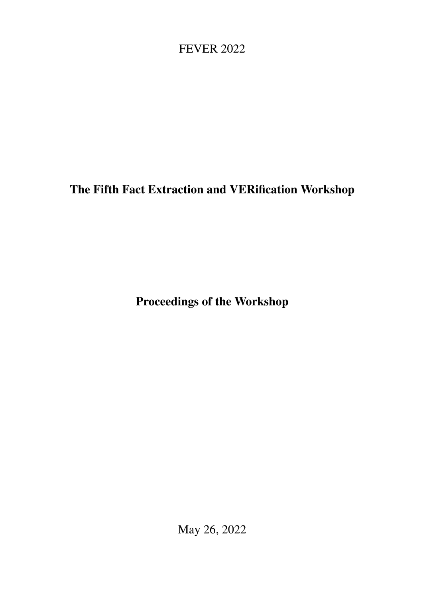# <span id="page-0-0"></span>FEVER 2022

# The Fifth Fact Extraction and VERification Workshop

Proceedings of the Workshop

May 26, 2022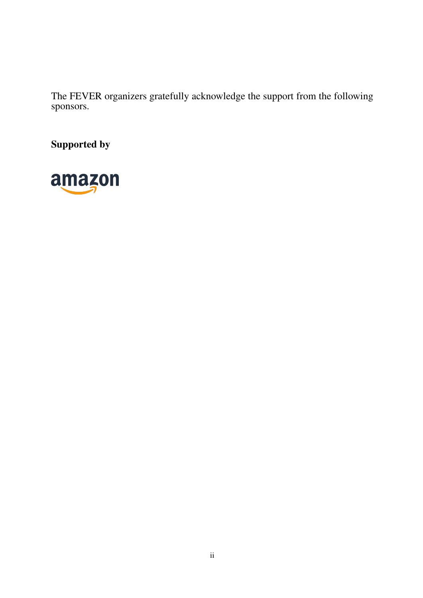The FEVER organizers gratefully acknowledge the support from the following sponsors.

Supported by

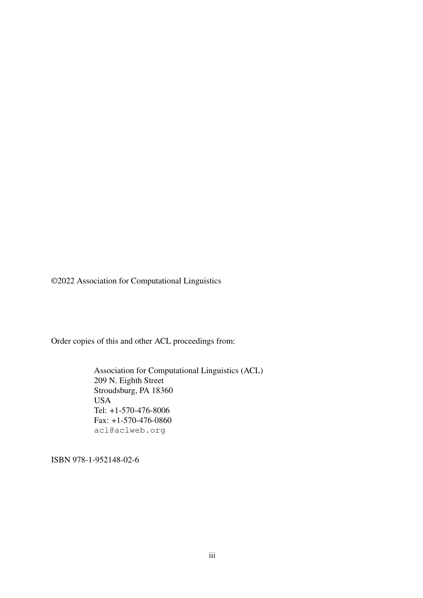©2022 Association for Computational Linguistics

Order copies of this and other ACL proceedings from:

Association for Computational Linguistics (ACL) 209 N. Eighth Street Stroudsburg, PA 18360 USA Tel: +1-570-476-8006 Fax: +1-570-476-0860 acl@aclweb.org

ISBN 978-1-952148-02-6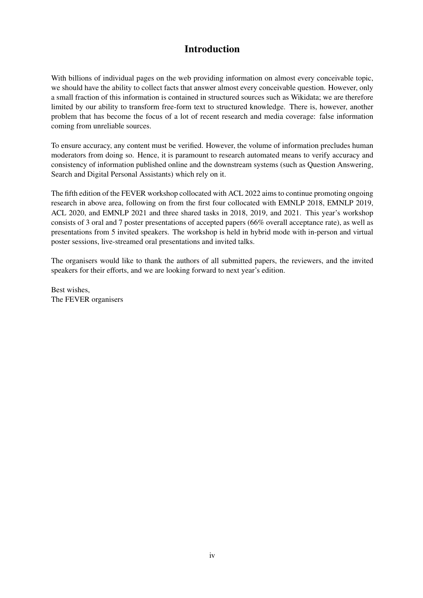## Introduction

With billions of individual pages on the web providing information on almost every conceivable topic, we should have the ability to collect facts that answer almost every conceivable question. However, only a small fraction of this information is contained in structured sources such as Wikidata; we are therefore limited by our ability to transform free-form text to structured knowledge. There is, however, another problem that has become the focus of a lot of recent research and media coverage: false information coming from unreliable sources.

To ensure accuracy, any content must be verified. However, the volume of information precludes human moderators from doing so. Hence, it is paramount to research automated means to verify accuracy and consistency of information published online and the downstream systems (such as Question Answering, Search and Digital Personal Assistants) which rely on it.

The fifth edition of the FEVER workshop collocated with ACL 2022 aims to continue promoting ongoing research in above area, following on from the first four collocated with EMNLP 2018, EMNLP 2019, ACL 2020, and EMNLP 2021 and three shared tasks in 2018, 2019, and 2021. This year's workshop consists of 3 oral and 7 poster presentations of accepted papers (66% overall acceptance rate), as well as presentations from 5 invited speakers. The workshop is held in hybrid mode with in-person and virtual poster sessions, live-streamed oral presentations and invited talks.

The organisers would like to thank the authors of all submitted papers, the reviewers, and the invited speakers for their efforts, and we are looking forward to next year's edition.

Best wishes, The FEVER organisers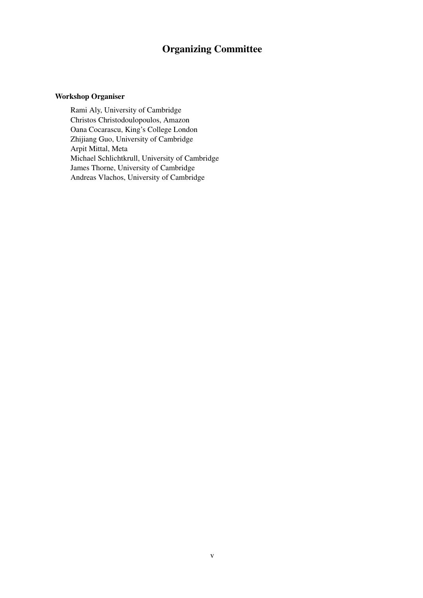## Organizing Committee

#### Workshop Organiser

Rami Aly, University of Cambridge Christos Christodoulopoulos, Amazon Oana Cocarascu, King's College London Zhijiang Guo, University of Cambridge Arpit Mittal, Meta Michael Schlichtkrull, University of Cambridge James Thorne, University of Cambridge Andreas Vlachos, University of Cambridge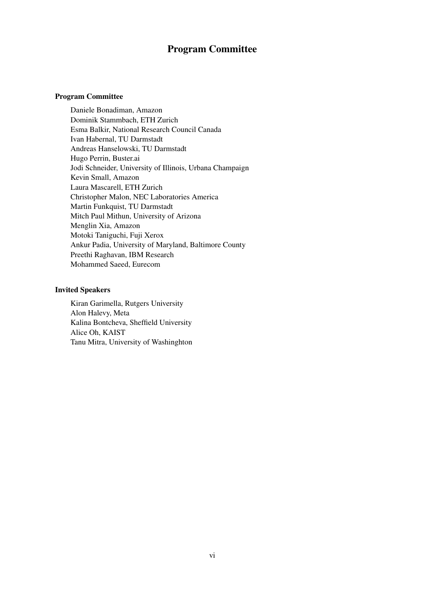### Program Committee

#### Program Committee

Daniele Bonadiman, Amazon Dominik Stammbach, ETH Zurich Esma Balkir, National Research Council Canada Ivan Habernal, TU Darmstadt Andreas Hanselowski, TU Darmstadt Hugo Perrin, Buster.ai Jodi Schneider, University of Illinois, Urbana Champaign Kevin Small, Amazon Laura Mascarell, ETH Zurich Christopher Malon, NEC Laboratories America Martin Funkquist, TU Darmstadt Mitch Paul Mithun, University of Arizona Menglin Xia, Amazon Motoki Taniguchi, Fuji Xerox Ankur Padia, University of Maryland, Baltimore County Preethi Raghavan, IBM Research Mohammed Saeed, Eurecom

#### Invited Speakers

Kiran Garimella, Rutgers University Alon Halevy, Meta Kalina Bontcheva, Sheffield University Alice Oh, KAIST Tanu Mitra, University of Washinghton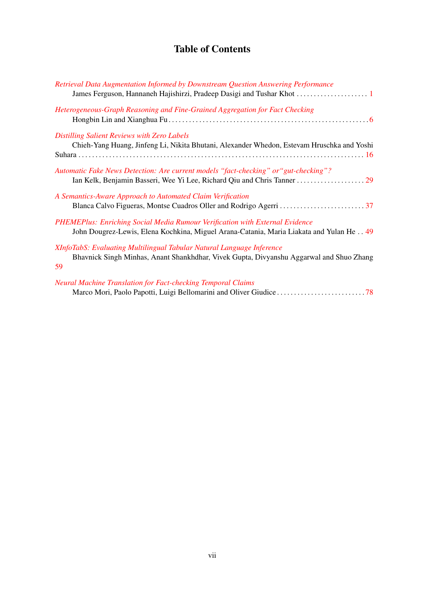## Table of Contents

| Retrieval Data Augmentation Informed by Downstream Question Answering Performance                                                                                       |
|-------------------------------------------------------------------------------------------------------------------------------------------------------------------------|
| Heterogeneous-Graph Reasoning and Fine-Grained Aggregation for Fact Checking                                                                                            |
| <b>Distilling Salient Reviews with Zero Labels</b><br>Chieh-Yang Huang, Jinfeng Li, Nikita Bhutani, Alexander Whedon, Estevam Hruschka and Yoshi                        |
| Automatic Fake News Detection: Are current models "fact-checking" or "gut-checking"?                                                                                    |
| A Semantics-Aware Approach to Automated Claim Verification                                                                                                              |
| PHEMEPlus: Enriching Social Media Rumour Verification with External Evidence<br>John Dougrez-Lewis, Elena Kochkina, Miguel Arana-Catania, Maria Liakata and Yulan He 49 |
| XInfoTabS: Evaluating Multilingual Tabular Natural Language Inference<br>Bhavnick Singh Minhas, Anant Shankhdhar, Vivek Gupta, Divyanshu Aggarwal and Shuo Zhang<br>59  |
| <b>Neural Machine Translation for Fact-checking Temporal Claims</b>                                                                                                     |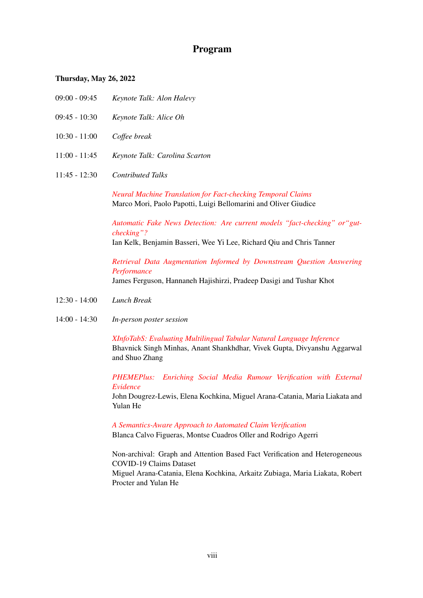### Program

#### Thursday, May 26, 2022

- 09:00 09:45 *Keynote Talk: Alon Halevy*
- 09:45 10:30 *Keynote Talk: Alice Oh*
- 10:30 11:00 *Coffee break*
- 11:00 11:45 *Keynote Talk: Carolina Scarton*
- 11:45 12:30 *Contributed Talks*

*[Neural Machine Translation for Fact-checking Temporal Claims](#page-0-0)* Marco Mori, Paolo Papotti, Luigi Bellomarini and Oliver Giudice

*[Automatic Fake News Detection: Are current models "fact-checking" or"gut](#page-0-0)[checking"?](#page-0-0)*

Ian Kelk, Benjamin Basseri, Wee Yi Lee, Richard Qiu and Chris Tanner

*[Retrieval Data Augmentation Informed by Downstream Question Answering](#page-0-0) [Performance](#page-0-0)*

James Ferguson, Hannaneh Hajishirzi, Pradeep Dasigi and Tushar Khot

- 12:30 14:00 *Lunch Break*
- 14:00 14:30 *In-person poster session*

*[XInfoTabS: Evaluating Multilingual Tabular Natural Language Inference](#page-0-0)* Bhavnick Singh Minhas, Anant Shankhdhar, Vivek Gupta, Divyanshu Aggarwal and Shuo Zhang

*[PHEMEPlus: Enriching Social Media Rumour Verification with External](#page-0-0) [Evidence](#page-0-0)*

John Dougrez-Lewis, Elena Kochkina, Miguel Arana-Catania, Maria Liakata and Yulan He

*[A Semantics-Aware Approach to Automated Claim Verification](#page-0-0)* Blanca Calvo Figueras, Montse Cuadros Oller and Rodrigo Agerri

Non-archival: Graph and Attention Based Fact Verification and Heterogeneous COVID-19 Claims Dataset Miguel Arana-Catania, Elena Kochkina, Arkaitz Zubiaga, Maria Liakata, Robert Procter and Yulan He